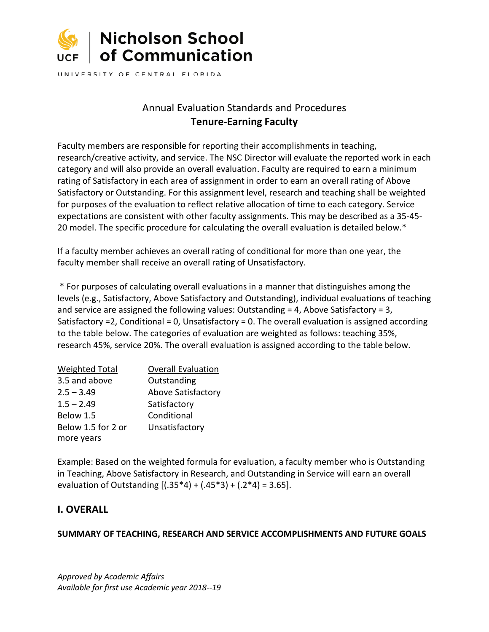

UNIVERSITY OF CENTRAL FLORIDA

# Annual Evaluation Standards and Procedures **Tenure-Earning Faculty**

Faculty members are responsible for reporting their accomplishments in teaching, research/creative activity, and service. The NSC Director will evaluate the reported work in each category and will also provide an overall evaluation. Faculty are required to earn a minimum rating of Satisfactory in each area of assignment in order to earn an overall rating of Above Satisfactory or Outstanding. For this assignment level, research and teaching shall be weighted for purposes of the evaluation to reflect relative allocation of time to each category. Service expectations are consistent with other faculty assignments. This may be described as a 35-45- 20 model. The specific procedure for calculating the overall evaluation is detailed below.\*

If a faculty member achieves an overall rating of conditional for more than one year, the faculty member shall receive an overall rating of Unsatisfactory.

\* For purposes of calculating overall evaluations in a manner that distinguishes among the levels (e.g., Satisfactory, Above Satisfactory and Outstanding), individual evaluations of teaching and service are assigned the following values: Outstanding  $=$  4, Above Satisfactory  $=$  3, Satisfactory =2, Conditional = 0, Unsatisfactory = 0. The overall evaluation is assigned according to the table below. The categories of evaluation are weighted as follows: teaching 35%, research 45%, service 20%. The overall evaluation is assigned according to the table below.

| <b>Weighted Total</b> | <b>Overall Evaluation</b> |
|-----------------------|---------------------------|
| 3.5 and above         | Outstanding               |
| $2.5 - 3.49$          | <b>Above Satisfactory</b> |
| $1.5 - 2.49$          | Satisfactory              |
| Below 1.5             | Conditional               |
| Below 1.5 for 2 or    | Unsatisfactory            |
| more years            |                           |

Example: Based on the weighted formula for evaluation, a faculty member who is Outstanding in Teaching, Above Satisfactory in Research, and Outstanding in Service will earn an overall evaluation of Outstanding  $[(.35*4) + (.45*3) + (.2*4) = 3.65]$ .

# **I. OVERALL**

### **SUMMARY OF TEACHING, RESEARCH AND SERVICE ACCOMPLISHMENTS AND FUTURE GOALS**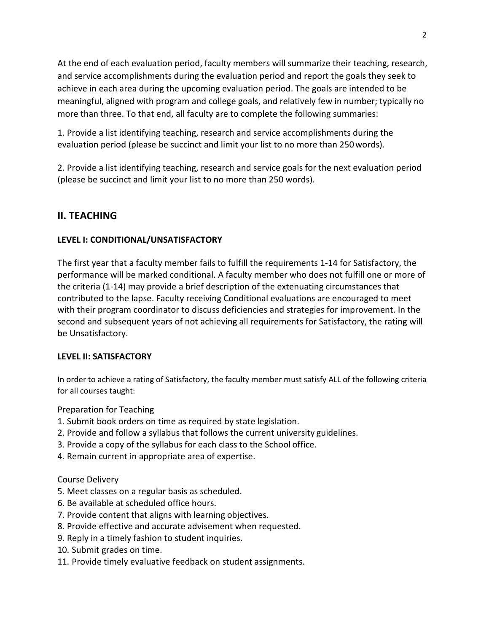At the end of each evaluation period, faculty members will summarize their teaching, research, and service accomplishments during the evaluation period and report the goals they seek to achieve in each area during the upcoming evaluation period. The goals are intended to be meaningful, aligned with program and college goals, and relatively few in number; typically no more than three. To that end, all faculty are to complete the following summaries:

1. Provide a list identifying teaching, research and service accomplishments during the evaluation period (please be succinct and limit your list to no more than 250words).

2. Provide a list identifying teaching, research and service goals for the next evaluation period (please be succinct and limit your list to no more than 250 words).

# **II. TEACHING**

### **LEVEL I: CONDITIONAL/UNSATISFACTORY**

The first year that a faculty member fails to fulfill the requirements 1-14 for Satisfactory, the performance will be marked conditional. A faculty member who does not fulfill one or more of the criteria (1-14) may provide a brief description of the extenuating circumstances that contributed to the lapse. Faculty receiving Conditional evaluations are encouraged to meet with their program coordinator to discuss deficiencies and strategies for improvement. In the second and subsequent years of not achieving all requirements for Satisfactory, the rating will be Unsatisfactory.

### **LEVEL II: SATISFACTORY**

In order to achieve a rating of Satisfactory, the faculty member must satisfy ALL of the following criteria for all courses taught:

Preparation for Teaching

- 1. Submit book orders on time as required by state legislation.
- 2. Provide and follow a syllabus that follows the current university guidelines.
- 3. Provide a copy of the syllabus for each class to the School office.
- 4. Remain current in appropriate area of expertise.

### Course Delivery

- 5. Meet classes on a regular basis as scheduled.
- 6. Be available at scheduled office hours.
- 7. Provide content that aligns with learning objectives.
- 8. Provide effective and accurate advisement when requested.
- 9. Reply in a timely fashion to student inquiries.
- 10. Submit grades on time.
- 11. Provide timely evaluative feedback on student assignments.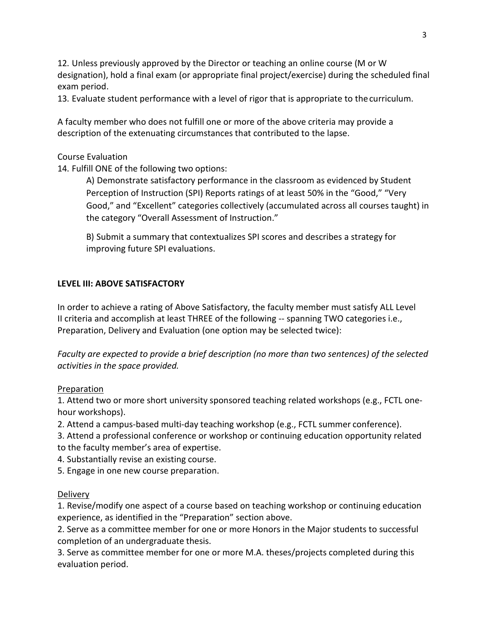12. Unless previously approved by the Director or teaching an online course (M or W designation), hold a final exam (or appropriate final project/exercise) during the scheduled final exam period.

13. Evaluate student performance with a level of rigor that is appropriate to thecurriculum.

A faculty member who does not fulfill one or more of the above criteria may provide a description of the extenuating circumstances that contributed to the lapse.

### Course Evaluation

14. Fulfill ONE of the following two options:

A) Demonstrate satisfactory performance in the classroom as evidenced by Student Perception of Instruction (SPI) Reports ratings of at least 50% in the "Good," "Very Good," and "Excellent" categories collectively (accumulated across all courses taught) in the category "Overall Assessment of Instruction."

B) Submit a summary that contextualizes SPI scores and describes a strategy for improving future SPI evaluations.

### **LEVEL III: ABOVE SATISFACTORY**

In order to achieve a rating of Above Satisfactory, the faculty member must satisfy ALL Level II criteria and accomplish at least THREE of the following -- spanning TWO categories i.e., Preparation, Delivery and Evaluation (one option may be selected twice):

*Faculty are expected to provide a brief description (no more than two sentences) of the selected activities in the space provided.*

### Preparation

1. Attend two or more short university sponsored teaching related workshops (e.g., FCTL onehour workshops).

2. Attend a campus-based multi-day teaching workshop (e.g., FCTL summer conference).

3. Attend a professional conference or workshop or continuing education opportunity related to the faculty member's area of expertise.

4. Substantially revise an existing course.

5. Engage in one new course preparation.

### Delivery

1. Revise/modify one aspect of a course based on teaching workshop or continuing education experience, as identified in the "Preparation" section above.

2. Serve as a committee member for one or more Honors in the Major students to successful completion of an undergraduate thesis.

3. Serve as committee member for one or more M.A. theses/projects completed during this evaluation period.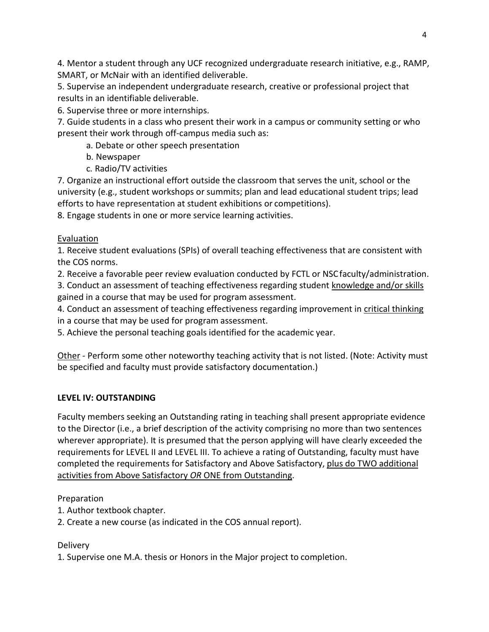4. Mentor a student through any UCF recognized undergraduate research initiative, e.g., RAMP, SMART, or McNair with an identified deliverable.

5. Supervise an independent undergraduate research, creative or professional project that results in an identifiable deliverable.

6. Supervise three or more internships.

7. Guide students in a class who present their work in a campus or community setting or who present their work through off-campus media such as:

a. Debate or other speech presentation

- b. Newspaper
- c. Radio/TV activities

7. Organize an instructional effort outside the classroom that serves the unit, school or the university (e.g., student workshops or summits; plan and lead educational student trips; lead efforts to have representation at student exhibitions or competitions).

8. Engage students in one or more service learning activities.

# Evaluation

1. Receive student evaluations (SPIs) of overall teaching effectiveness that are consistent with the COS norms.

2. Receive a favorable peer review evaluation conducted by FCTL or NSCfaculty/administration.

3. Conduct an assessment of teaching effectiveness regarding student knowledge and/or skills gained in a course that may be used for program assessment.

4. Conduct an assessment of teaching effectiveness regarding improvement in critical thinking in a course that may be used for program assessment.

5. Achieve the personal teaching goals identified for the academic year.

Other - Perform some other noteworthy teaching activity that is not listed. (Note: Activity must be specified and faculty must provide satisfactory documentation.)

# **LEVEL IV: OUTSTANDING**

Faculty members seeking an Outstanding rating in teaching shall present appropriate evidence to the Director (i.e., a brief description of the activity comprising no more than two sentences wherever appropriate). It is presumed that the person applying will have clearly exceeded the requirements for LEVEL II and LEVEL III. To achieve a rating of Outstanding, faculty must have completed the requirements for Satisfactory and Above Satisfactory, plus do TWO additional activities from Above Satisfactory *OR* ONE from Outstanding.

# Preparation

- 1. Author textbook chapter.
- 2. Create a new course (as indicated in the COS annual report).

# Delivery

1. Supervise one M.A. thesis or Honors in the Major project to completion.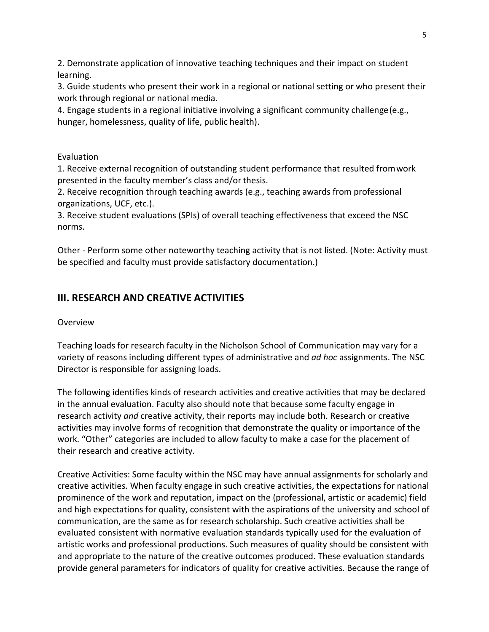2. Demonstrate application of innovative teaching techniques and their impact on student learning.

3. Guide students who present their work in a regional or national setting or who present their work through regional or national media.

4. Engage students in a regional initiative involving a significant community challenge(e.g., hunger, homelessness, quality of life, public health).

### Evaluation

1. Receive external recognition of outstanding student performance that resulted fromwork presented in the faculty member's class and/or thesis.

2. Receive recognition through teaching awards (e.g., teaching awards from professional organizations, UCF, etc.).

3. Receive student evaluations (SPIs) of overall teaching effectiveness that exceed the NSC norms.

Other - Perform some other noteworthy teaching activity that is not listed. (Note: Activity must be specified and faculty must provide satisfactory documentation.)

### **III. RESEARCH AND CREATIVE ACTIVITIES**

### Overview

Teaching loads for research faculty in the Nicholson School of Communication may vary for a variety of reasons including different types of administrative and *ad hoc* assignments. The NSC Director is responsible for assigning loads.

The following identifies kinds of research activities and creative activities that may be declared in the annual evaluation. Faculty also should note that because some faculty engage in research activity *and* creative activity, their reports may include both. Research or creative activities may involve forms of recognition that demonstrate the quality or importance of the work. "Other" categories are included to allow faculty to make a case for the placement of their research and creative activity.

Creative Activities: Some faculty within the NSC may have annual assignments for scholarly and creative activities. When faculty engage in such creative activities, the expectations for national prominence of the work and reputation, impact on the (professional, artistic or academic) field and high expectations for quality, consistent with the aspirations of the university and school of communication, are the same as for research scholarship. Such creative activities shall be evaluated consistent with normative evaluation standards typically used for the evaluation of artistic works and professional productions. Such measures of quality should be consistent with and appropriate to the nature of the creative outcomes produced. These evaluation standards provide general parameters for indicators of quality for creative activities. Because the range of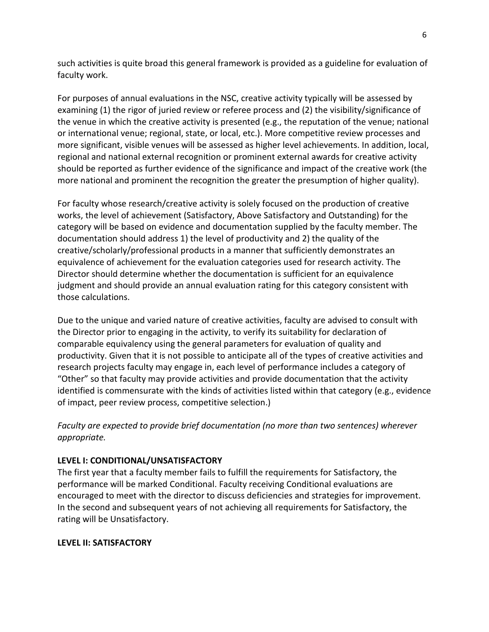such activities is quite broad this general framework is provided as a guideline for evaluation of faculty work.

For purposes of annual evaluations in the NSC, creative activity typically will be assessed by examining (1) the rigor of juried review or referee process and (2) the visibility/significance of the venue in which the creative activity is presented (e.g., the reputation of the venue; national or international venue; regional, state, or local, etc.). More competitive review processes and more significant, visible venues will be assessed as higher level achievements. In addition, local, regional and national external recognition or prominent external awards for creative activity should be reported as further evidence of the significance and impact of the creative work (the more national and prominent the recognition the greater the presumption of higher quality).

For faculty whose research/creative activity is solely focused on the production of creative works, the level of achievement (Satisfactory, Above Satisfactory and Outstanding) for the category will be based on evidence and documentation supplied by the faculty member. The documentation should address 1) the level of productivity and 2) the quality of the creative/scholarly/professional products in a manner that sufficiently demonstrates an equivalence of achievement for the evaluation categories used for research activity. The Director should determine whether the documentation is sufficient for an equivalence judgment and should provide an annual evaluation rating for this category consistent with those calculations.

Due to the unique and varied nature of creative activities, faculty are advised to consult with the Director prior to engaging in the activity, to verify its suitability for declaration of comparable equivalency using the general parameters for evaluation of quality and productivity. Given that it is not possible to anticipate all of the types of creative activities and research projects faculty may engage in, each level of performance includes a category of "Other" so that faculty may provide activities and provide documentation that the activity identified is commensurate with the kinds of activities listed within that category (e.g., evidence of impact, peer review process, competitive selection.)

*Faculty are expected to provide brief documentation (no more than two sentences) wherever appropriate.*

### **LEVEL I: CONDITIONAL/UNSATISFACTORY**

The first year that a faculty member fails to fulfill the requirements for Satisfactory, the performance will be marked Conditional. Faculty receiving Conditional evaluations are encouraged to meet with the director to discuss deficiencies and strategies for improvement. In the second and subsequent years of not achieving all requirements for Satisfactory, the rating will be Unsatisfactory.

### **LEVEL II: SATISFACTORY**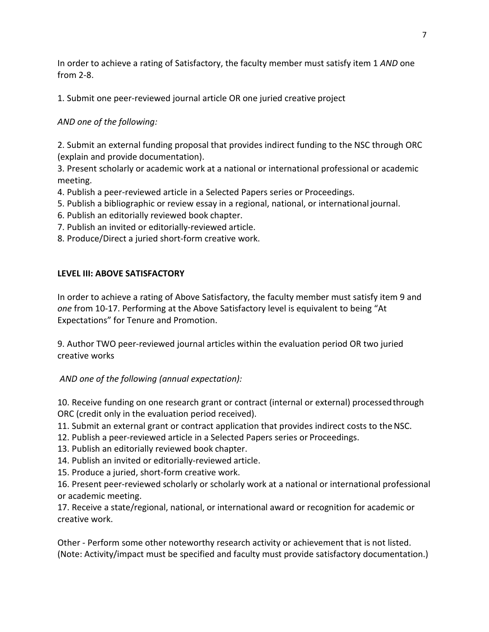In order to achieve a rating of Satisfactory, the faculty member must satisfy item 1 *AND* one from 2-8.

1. Submit one peer-reviewed journal article OR one juried creative project

### *AND one of the following:*

2. Submit an external funding proposal that provides indirect funding to the NSC through ORC (explain and provide documentation).

3. Present scholarly or academic work at a national or international professional or academic meeting.

- 4. Publish a peer-reviewed article in a Selected Papers series or Proceedings.
- 5. Publish a bibliographic or review essay in a regional, national, or international journal.
- 6. Publish an editorially reviewed book chapter.
- 7. Publish an invited or editorially-reviewed article.
- 8. Produce/Direct a juried short-form creative work.

### **LEVEL III: ABOVE SATISFACTORY**

In order to achieve a rating of Above Satisfactory, the faculty member must satisfy item 9 and *one* from 10-17. Performing at the Above Satisfactory level is equivalent to being "At Expectations" for Tenure and Promotion.

9. Author TWO peer-reviewed journal articles within the evaluation period OR two juried creative works

*AND one of the following (annual expectation):*

10. Receive funding on one research grant or contract (internal or external) processedthrough ORC (credit only in the evaluation period received).

- 11. Submit an external grant or contract application that provides indirect costs to the NSC.
- 12. Publish a peer-reviewed article in a Selected Papers series or Proceedings.
- 13. Publish an editorially reviewed book chapter.
- 14. Publish an invited or editorially-reviewed article.
- 15. Produce a juried, short-form creative work.

16. Present peer-reviewed scholarly or scholarly work at a national or international professional or academic meeting.

17. Receive a state/regional, national, or international award or recognition for academic or creative work.

Other - Perform some other noteworthy research activity or achievement that is not listed. (Note: Activity/impact must be specified and faculty must provide satisfactory documentation.)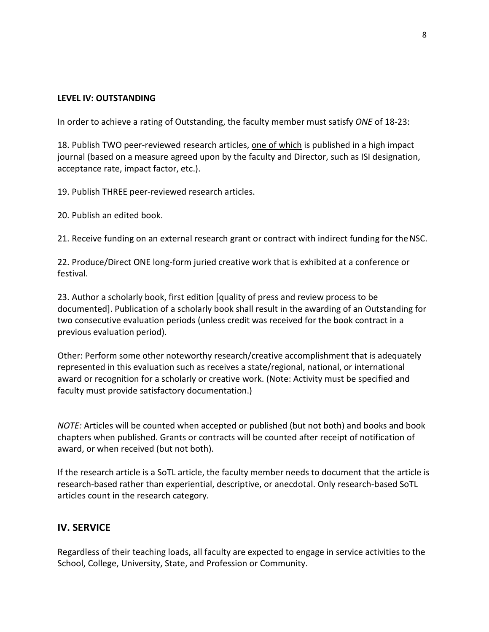#### **LEVEL IV: OUTSTANDING**

In order to achieve a rating of Outstanding, the faculty member must satisfy *ONE* of 18-23:

18. Publish TWO peer-reviewed research articles, one of which is published in a high impact journal (based on a measure agreed upon by the faculty and Director, such as ISI designation, acceptance rate, impact factor, etc.).

19. Publish THREE peer-reviewed research articles.

20. Publish an edited book.

21. Receive funding on an external research grant or contract with indirect funding for theNSC.

22. Produce/Direct ONE long-form juried creative work that is exhibited at a conference or festival.

23. Author a scholarly book, first edition [quality of press and review process to be documented]. Publication of a scholarly book shall result in the awarding of an Outstanding for two consecutive evaluation periods (unless credit was received for the book contract in a previous evaluation period).

Other: Perform some other noteworthy research/creative accomplishment that is adequately represented in this evaluation such as receives a state/regional, national, or international award or recognition for a scholarly or creative work. (Note: Activity must be specified and faculty must provide satisfactory documentation.)

*NOTE:* Articles will be counted when accepted or published (but not both) and books and book chapters when published. Grants or contracts will be counted after receipt of notification of award, or when received (but not both).

If the research article is a SoTL article, the faculty member needs to document that the article is research-based rather than experiential, descriptive, or anecdotal. Only research-based SoTL articles count in the research category.

### **IV. SERVICE**

Regardless of their teaching loads, all faculty are expected to engage in service activities to the School, College, University, State, and Profession or Community.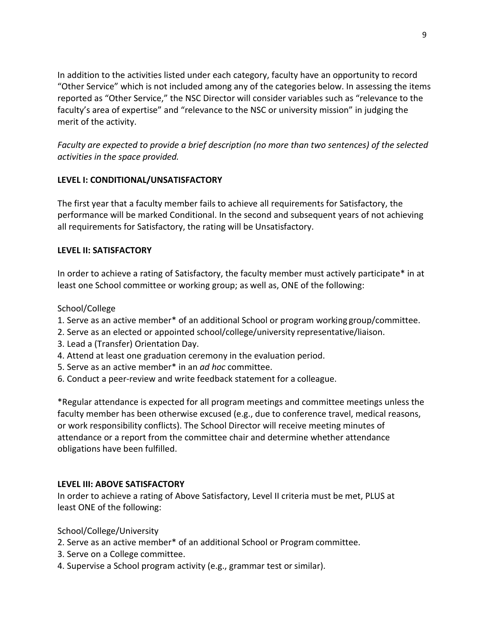In addition to the activities listed under each category, faculty have an opportunity to record "Other Service" which is not included among any of the categories below. In assessing the items reported as "Other Service," the NSC Director will consider variables such as "relevance to the faculty's area of expertise" and "relevance to the NSC or university mission" in judging the merit of the activity.

*Faculty are expected to provide a brief description (no more than two sentences) of the selected activities in the space provided.*

### **LEVEL I: CONDITIONAL/UNSATISFACTORY**

The first year that a faculty member fails to achieve all requirements for Satisfactory, the performance will be marked Conditional. In the second and subsequent years of not achieving all requirements for Satisfactory, the rating will be Unsatisfactory.

### **LEVEL II: SATISFACTORY**

In order to achieve a rating of Satisfactory, the faculty member must actively participate\* in at least one School committee or working group; as well as, ONE of the following:

### School/College

- 1. Serve as an active member\* of an additional School or program working group/committee.
- 2. Serve as an elected or appointed school/college/university representative/liaison.
- 3. Lead a (Transfer) Orientation Day.
- 4. Attend at least one graduation ceremony in the evaluation period.
- 5. Serve as an active member\* in an *ad hoc* committee.
- 6. Conduct a peer-review and write feedback statement for a colleague.

\*Regular attendance is expected for all program meetings and committee meetings unless the faculty member has been otherwise excused (e.g., due to conference travel, medical reasons, or work responsibility conflicts). The School Director will receive meeting minutes of attendance or a report from the committee chair and determine whether attendance obligations have been fulfilled.

### **LEVEL III: ABOVE SATISFACTORY**

In order to achieve a rating of Above Satisfactory, Level II criteria must be met, PLUS at least ONE of the following:

School/College/University

- 2. Serve as an active member\* of an additional School or Program committee.
- 3. Serve on a College committee.
- 4. Supervise a School program activity (e.g., grammar test or similar).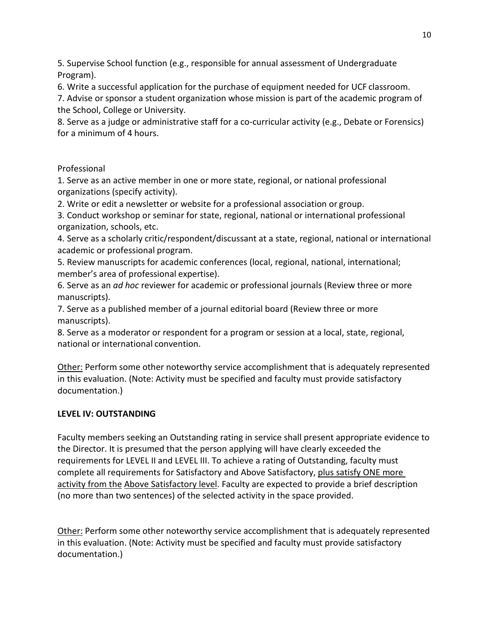5. Supervise School function (e.g., responsible for annual assessment of Undergraduate Program).

6. Write a successful application for the purchase of equipment needed for UCF classroom.

7. Advise or sponsor a student organization whose mission is part of the academic program of the School, College or University.

8. Serve as a judge or administrative staff for a co-curricular activity (e.g., Debate or Forensics) for a minimum of 4 hours.

### Professional

1. Serve as an active member in one or more state, regional, or national professional organizations (specify activity).

2. Write or edit a newsletter or website for a professional association or group.

3. Conduct workshop or seminar for state, regional, national or international professional organization, schools, etc.

4. Serve as a scholarly critic/respondent/discussant at a state, regional, national or international academic or professional program.

5. Review manuscripts for academic conferences (local, regional, national, international; member's area of professional expertise).

6. Serve as an *ad hoc* reviewer for academic or professional journals (Review three or more manuscripts).

7. Serve as a published member of a journal editorial board (Review three or more manuscripts).

8. Serve as a moderator or respondent for a program or session at a local, state, regional, national or international convention.

Other: Perform some other noteworthy service accomplishment that is adequately represented in this evaluation. (Note: Activity must be specified and faculty must provide satisfactory documentation.)

### **LEVEL IV: OUTSTANDING**

Faculty members seeking an Outstanding rating in service shall present appropriate evidence to the Director. It is presumed that the person applying will have clearly exceeded the requirements for LEVEL II and LEVEL III. To achieve a rating of Outstanding, faculty must complete all requirements for Satisfactory and Above Satisfactory, plus satisfy ONE more activity from the Above Satisfactory level. Faculty are expected to provide a brief description (no more than two sentences) of the selected activity in the space provided.

Other: Perform some other noteworthy service accomplishment that is adequately represented in this evaluation. (Note: Activity must be specified and faculty must provide satisfactory documentation.)